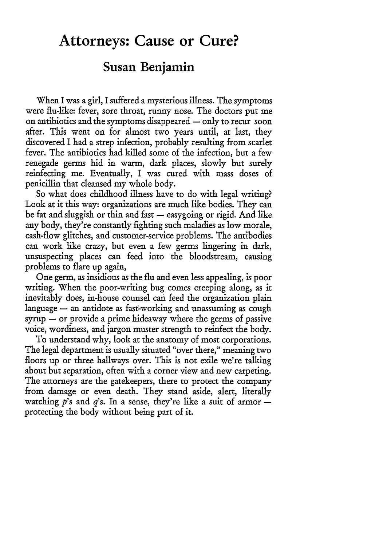## **Attorneys: Cause or Cure?**

## **Susan Benjamin**

When I was a girl, I suffered a mysterious illness. The symptoms were flu-like: fever, sore throat, runny nose. The doctors put me on antibiotics and the symptoms disappeared  $-$  only to recur soon after. This went on for almost two years until, at last, they discovered I had a strep infection, probably resulting from scarlet fever. The antibiotics had killed some of the infection, but a few renegade germs hid in warm, dark places, slowly but surely reinfecting me. Eventually, I was cured with mass doses of penicillin that cleansed my whole body.

So what does childhood illness have to do with legal writing? Look at it this way: organizations are much like bodies. They can be fat and sluggish or thin and fast  $-$  easygoing or rigid. And like any body, they're constantly fighting such maladies as low morale, cash-flow glitches, and customer-service problems. The antibodies can work like crazy, but even a few germs lingering in dark, unsuspecting places can feed into the bloodstream, causing problems to flare up again,

One germ, as insidious as the flu and even less appealing, is poor writing. When the poor-writing bug comes creeping along, as it inevitably does, in-house counsel can feed the organization plain language  $-$  an antidote as fast-working and unassuming as cough  $syrup - or provide a prime hideaway where the germs of passive$ voice, wordiness, and jargon muster strength to reinfect the body.

To understand why, look at the anatomy of most corporations. The legal department is usually situated "over there," meaning two floors up or three hallways over. This is not exile we're talking about but separation, often with a corner view and new carpeting. The attorneys are the gatekeepers, there to protect the company from damage or even death. They stand aside, alert, literally watching  $p$ 's and  $q$ 's. In a sense, they're like a suit of armor  $$ protecting the body without being part of it.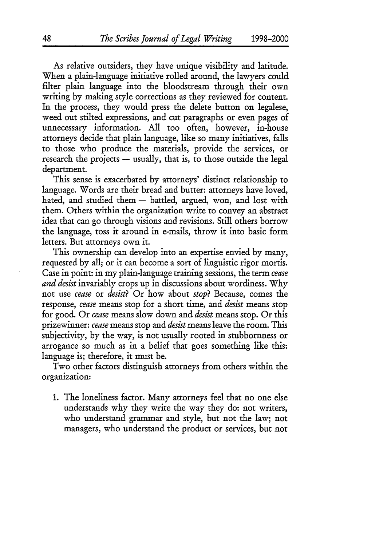As relative outsiders, they have unique visibility and latitude. When a plain-language initiative rolled around, the lawyers could filter plain language into the bloodstream through their own writing by making style corrections as they reviewed for content. In the process, they would press the delete button on legalese, weed out stilted expressions, and cut paragraphs or even pages of unnecessary information. All too often, however, in-house attorneys decide that plain language, like so many initiatives, falls to those who produce the materials, provide the services, or research the projects  $-$  usually, that is, to those outside the legal department.

This sense is exacerbated by attorneys' distinct relationship to language. Words are their bread and butter: attorneys have loved, hated, and studied them - battled, argued, won, and lost with them. Others within the organization write to convey an abstract idea that can go through visions and revisions. Still others borrow the language, toss it around in e-mails, throw it into basic form letters. But attorneys own it.

This ownership can develop into an expertise envied by many, requested by all; or it can become a sort of linguistic rigor mortis. Case in point: in my plain-language training sessions, the term *cease and desist* invariably crops up in discussions about wordiness. Why not use *cease* or *desist?* Or how about *stop?* Because, comes the response, *cease* means stop for a short time, and *desist* means stop for good. Or *cease* means slow down and *desist* means stop. Or this prizewinner: *cease* means stop and *desist* means leave the room. This subjectivity, by the way, is not usually rooted in stubbornness or arrogance so much as in a belief that goes something like this: language is; therefore, it must be.

Two other factors distinguish attorneys from others within the organization:

1. The loneliness factor. Many attorneys feel that no one else understands why they write the way they do: not writers, who understand grammar and style, but not the law; not managers, who understand the product or services, but not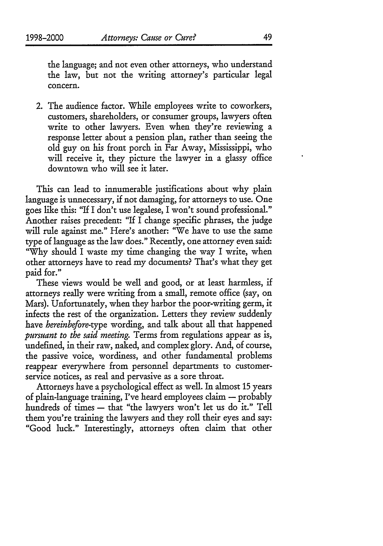2. The audience factor. While employees write to coworkers, customers, shareholders, or consumer groups, lawyers often write to other lawyers. Even when they're reviewing a response letter about a pension plan, rather than seeing the old guy on his front porch in Far Away, Mississippi, who will receive it, they picture the lawyer in a glassy office downtown who will see it later.

This can lead to innumerable justifications about why plain language is unnecessary, if not damaging, for attorneys to use. One goes like this: "If I don't use legalese, I won't sound professional." Another raises precedent: "If I change specific phrases, the judge will rule against me." Here's another: "We have to use the same type of language as the law does." Recently, one attorney even said: "Why should I waste my time changing the way I write, when other attorneys have to read my documents? That's what they get paid for."

These views would be well and good, or at least harmless, if attorneys really were writing from a small, remote office (say, on Mars). Unfortunately, when they harbor the poor-writing germ, it infects the rest of the organization. Letters they review suddenly have *hereinbefore-type* wording, and talk about all that happened *pursuant to the said meeting.* Terms from regulations appear as is, undefined, in their raw, naked, and complex glory. And, of course, the passive voice, wordiness, and other fundamental problems reappear everywhere from personnel departments to customerservice notices, as real and pervasive as a sore throat.

Attorneys have a psychological effect as well. In almost 15 years of plain-language training, I've heard employees claim - probably hundreds of times - that "the lawyers won't let us do it." Tell them you're training the lawyers and they roll their eyes and say: "Good luck." Interestingly, attorneys often claim that other